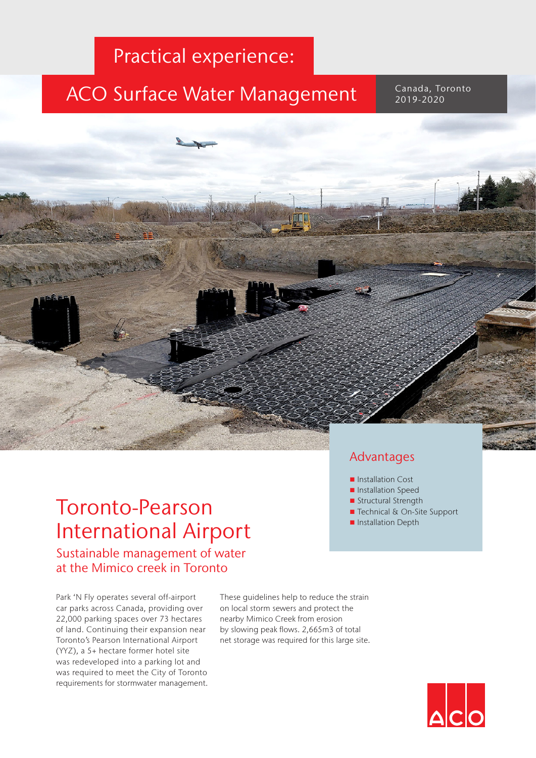### **Practical experience:**

Drainage solutions

## ACO Surface Water Management

Canada, Toronto 2019-2020

# Toronto-Pearson International Airport

Sustainable management of water at the Mimico creek in Toronto

Park 'N Fly operates several off-airport car parks across Canada, providing over 22,000 parking spaces over 73 hectares of land. Continuing their expansion near Toronto's Pearson International Airport (YYZ), a 5+ hectare former hotel site was redeveloped into a parking lot and was required to meet the City of Toronto requirements for stormwater management. These guidelines help to reduce the strain on local storm sewers and protect the nearby Mimico Creek from erosion by slowing peak flows. 2,665m3 of total net storage was required for this large site.

#### Advantages

- Installation Cost
- **n** Installation Speed
- Structural Strength
- Technical & On-Site Support
- Installation Depth